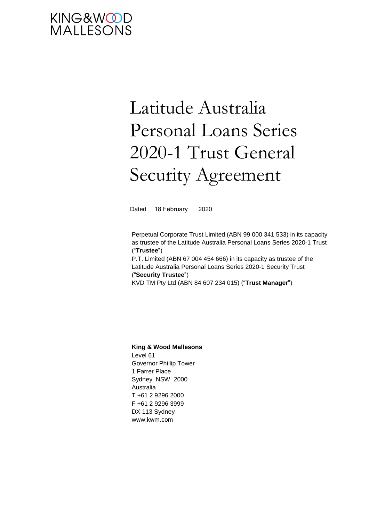# KING&WOOD<br>MALLESONS

# Latitude Australia Personal Loans Series 2020-1 Trust General Security Agreement

Dated 18 February 2020

Perpetual Corporate Trust Limited (ABN 99 000 341 533) in its capacity as trustee of the Latitude Australia Personal Loans Series 2020-1 Trust ("**Trustee**")

P.T. Limited (ABN 67 004 454 666) in its capacity as trustee of the Latitude Australia Personal Loans Series 2020-1 Security Trust ("**Security Trustee**")

KVD TM Pty Ltd (ABN 84 607 234 015) ("**Trust Manager**")

#### **King & Wood Mallesons**

Level 61 Governor Phillip Tower 1 Farrer Place Sydney NSW 2000 Australia T +61 2 9296 2000 F +61 2 9296 3999 DX 113 Sydney www.kwm.com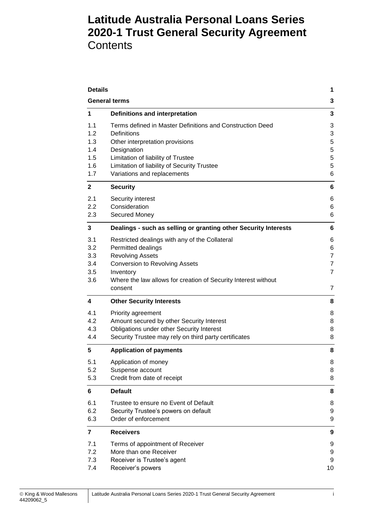# **Latitude Australia Personal Loans Series 2020-1 Trust General Security Agreement Contents**

| <b>Details</b><br><b>General terms</b>        |                                                                                                                                                                                                                                                       |                                                 |
|-----------------------------------------------|-------------------------------------------------------------------------------------------------------------------------------------------------------------------------------------------------------------------------------------------------------|-------------------------------------------------|
|                                               |                                                                                                                                                                                                                                                       |                                                 |
| 1.1<br>1.2<br>1.3<br>1.4<br>1.5<br>1.6<br>1.7 | Terms defined in Master Definitions and Construction Deed<br><b>Definitions</b><br>Other interpretation provisions<br>Designation<br>Limitation of liability of Trustee<br>Limitation of liability of Security Trustee<br>Variations and replacements | 3<br>3<br>5<br>5<br>5<br>5<br>6                 |
| $\mathbf{2}$                                  | <b>Security</b>                                                                                                                                                                                                                                       | 6                                               |
| 2.1<br>2.2<br>2.3                             | Security interest<br>Consideration<br>Secured Money                                                                                                                                                                                                   | 6<br>6<br>6                                     |
| 3                                             | Dealings - such as selling or granting other Security Interests                                                                                                                                                                                       | 6                                               |
| 3.1<br>3.2<br>3.3<br>3.4<br>3.5<br>3.6        | Restricted dealings with any of the Collateral<br>Permitted dealings<br><b>Revolving Assets</b><br><b>Conversion to Revolving Assets</b><br>Inventory<br>Where the law allows for creation of Security Interest without                               | 6<br>6<br>$\overline{7}$<br>$\overline{7}$<br>7 |
|                                               | consent                                                                                                                                                                                                                                               | 7                                               |
| 4                                             | <b>Other Security Interests</b>                                                                                                                                                                                                                       | 8                                               |
| 4.1<br>4.2<br>4.3<br>4.4                      | Priority agreement<br>Amount secured by other Security Interest<br>Obligations under other Security Interest<br>Security Trustee may rely on third party certificates                                                                                 | 8<br>8<br>8<br>8                                |
| 5                                             | <b>Application of payments</b>                                                                                                                                                                                                                        | 8                                               |
| 5.1<br>5.2<br>5.3                             | Application of money<br>Suspense account<br>Credit from date of receipt                                                                                                                                                                               | 8<br>8<br>8                                     |
| 6                                             | <b>Default</b>                                                                                                                                                                                                                                        | 8                                               |
| 6.1<br>6.2<br>6.3                             | Trustee to ensure no Event of Default<br>Security Trustee's powers on default<br>Order of enforcement                                                                                                                                                 | 8<br>9<br>9                                     |
| $\overline{7}$                                | <b>Receivers</b>                                                                                                                                                                                                                                      | 9                                               |
| 7.1<br>7.2<br>7.3<br>7.4                      | Terms of appointment of Receiver<br>More than one Receiver<br>Receiver is Trustee's agent<br>Receiver's powers                                                                                                                                        | 9<br>9<br>9<br>10                               |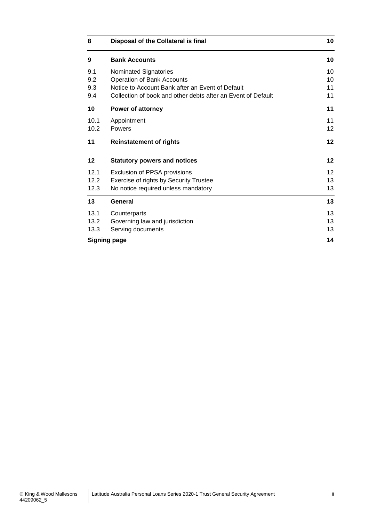| 8    | Disposal of the Collateral is final                          | 10              |
|------|--------------------------------------------------------------|-----------------|
| 9    | <b>Bank Accounts</b>                                         | 10              |
| 9.1  | Nominated Signatories                                        | 10              |
| 9.2  | Operation of Bank Accounts                                   | 10              |
| 9.3  | Notice to Account Bank after an Event of Default             | 11              |
| 9.4  | Collection of book and other debts after an Event of Default | 11              |
| 10   | <b>Power of attorney</b>                                     | 11              |
| 10.1 | Appointment                                                  | 11              |
| 10.2 | Powers                                                       | 12              |
| 11   | <b>Reinstatement of rights</b>                               | 12              |
| 12   | <b>Statutory powers and notices</b>                          |                 |
| 12.1 | Exclusion of PPSA provisions                                 | 12 <sup>2</sup> |
| 12.2 | Exercise of rights by Security Trustee                       | 13              |
| 12.3 | No notice required unless mandatory                          | 13              |
| 13   | General                                                      | 13              |
| 13.1 | Counterparts                                                 | 13              |
| 13.2 | Governing law and jurisdiction                               | 13              |
| 13.3 | Serving documents                                            | 13              |
|      | <b>Signing page</b>                                          | 14              |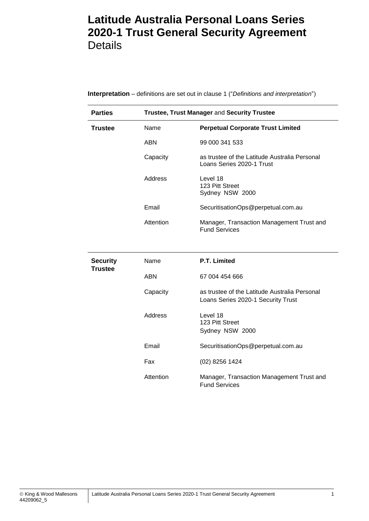# <span id="page-3-0"></span>**Latitude Australia Personal Loans Series 2020-1 Trust General Security Agreement Details**

| <b>Parties</b>  | Trustee, Trust Manager and Security Trustee |                                                                                     |  |
|-----------------|---------------------------------------------|-------------------------------------------------------------------------------------|--|
| <b>Trustee</b>  | Name                                        | <b>Perpetual Corporate Trust Limited</b>                                            |  |
|                 | <b>ABN</b>                                  | 99 000 341 533                                                                      |  |
|                 | Capacity                                    | as trustee of the Latitude Australia Personal<br>Loans Series 2020-1 Trust          |  |
|                 | Address                                     | Level 18<br>123 Pitt Street<br>Sydney NSW 2000                                      |  |
|                 | Email                                       | SecuritisationOps@perpetual.com.au                                                  |  |
|                 | Attention                                   | Manager, Transaction Management Trust and<br><b>Fund Services</b>                   |  |
|                 |                                             |                                                                                     |  |
| <b>Security</b> | Name                                        | P.T. Limited                                                                        |  |
| <b>Trustee</b>  | <b>ABN</b>                                  | 67 004 454 666                                                                      |  |
|                 | Capacity                                    | as trustee of the Latitude Australia Personal<br>Loans Series 2020-1 Security Trust |  |
|                 | Address                                     | Level 18<br>123 Pitt Street<br>Sydney NSW 2000                                      |  |
|                 | Email                                       | SecuritisationOps@perpetual.com.au                                                  |  |
|                 | Fax                                         | (02) 8256 1424                                                                      |  |
|                 | Attention                                   | Manager, Transaction Management Trust and<br><b>Fund Services</b>                   |  |

**Interpretation** – definitions are set out in clause [1](#page-5-1) ("*Definitions and interpretation*")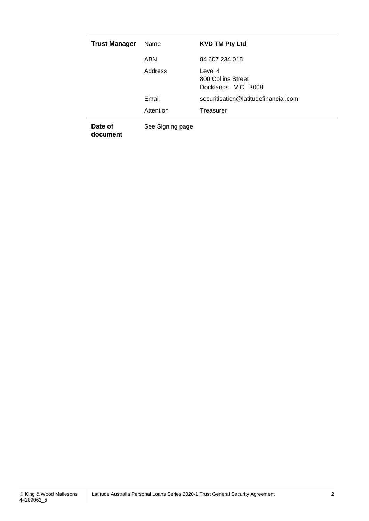| <b>Trust Manager</b> | Name             | <b>KVD TM Pty Ltd</b>                               |
|----------------------|------------------|-----------------------------------------------------|
|                      | <b>ABN</b>       | 84 607 234 015                                      |
|                      | Address          | Level 4<br>800 Collins Street<br>Docklands VIC 3008 |
|                      | Email            | securitisation@latitudefinancial.com                |
|                      | Attention        | Treasurer                                           |
| Date of              | See Signing page |                                                     |

**document**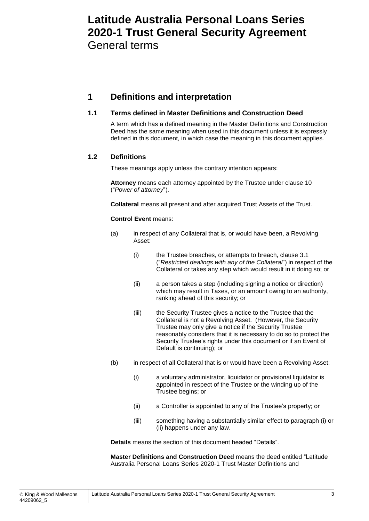# <span id="page-5-0"></span>**Latitude Australia Personal Loans Series 2020-1 Trust General Security Agreement** General terms

## <span id="page-5-1"></span>**1 Definitions and interpretation**

## <span id="page-5-2"></span>**1.1 Terms defined in Master Definitions and Construction Deed**

A term which has a defined meaning in the Master Definitions and Construction Deed has the same meaning when used in this document unless it is expressly defined in this document, in which case the meaning in this document applies.

## <span id="page-5-3"></span>**1.2 Definitions**

These meanings apply unless the contrary intention appears:

**Attorney** means each attorney appointed by the Trustee under clause [10](#page-13-2) ("*Power of attorney*").

**Collateral** means all present and after acquired Trust Assets of the Trust.

#### **Control Event** means:

- (a) in respect of any Collateral that is, or would have been, a Revolving Asset:
	- (i) the Trustee breaches, or attempts to breach, clause [3.1](#page-8-6) ("*Restricted dealings with any of the Collateral*") in respect of the Collateral or takes any step which would result in it doing so; or
	- (ii) a person takes a step (including signing a notice or direction) which may result in Taxes, or an amount owing to an authority, ranking ahead of this security; or
	- (iii) the Security Trustee gives a notice to the Trustee that the Collateral is not a Revolving Asset. (However, the Security Trustee may only give a notice if the Security Trustee reasonably considers that it is necessary to do so to protect the Security Trustee's rights under this document or if an Event of Default is continuing); or
- (b) in respect of all Collateral that is or would have been a Revolving Asset:
	- (i) a voluntary administrator, liquidator or provisional liquidator is appointed in respect of the Trustee or the winding up of the Trustee begins; or
	- (ii) a Controller is appointed to any of the Trustee's property; or
	- (iii) something having a substantially similar effect to paragraph (i) or (ii) happens under any law.

**Details** means the section of this document headed "Details".

**Master Definitions and Construction Deed** means the deed entitled "Latitude Australia Personal Loans Series 2020-1 Trust Master Definitions and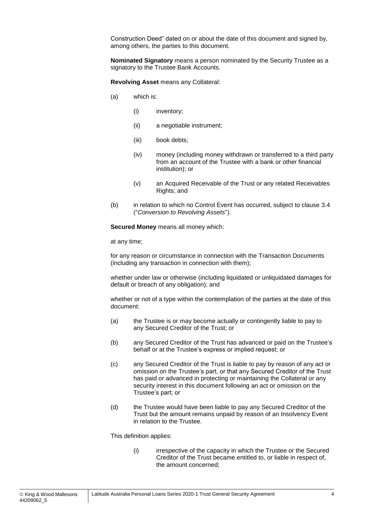Construction Deed" dated on or about the date of this document and signed by, among others, the parties to this document.

**Nominated Signatory** means a person nominated by the Security Trustee as a signatory to the Trustee Bank Accounts.

**Revolving Asset** means any Collateral:

- (a) which is:
	- (i) inventory;
	- (ii) a negotiable instrument;
	- (iii) book debts;
	- (iv) money (including money withdrawn or transferred to a third party from an account of the Trustee with a bank or other financial institution); or
	- (v) an Acquired Receivable of the Trust or any related Receivables Rights; and
- (b) in relation to which no Control Event has occurred, subject to clause [3.4](#page-9-1) ("*Conversion to Revolving Assets*").

**Secured Money** means all money which:

at any time;

for any reason or circumstance in connection with the Transaction Documents (including any transaction in connection with them);

whether under law or otherwise (including liquidated or unliquidated damages for default or breach of any obligation); and

whether or not of a type within the contemplation of the parties at the date of this document:

- (a) the Trustee is or may become actually or contingently liable to pay to any Secured Creditor of the Trust; or
- (b) any Secured Creditor of the Trust has advanced or paid on the Trustee's behalf or at the Trustee's express or implied request; or
- (c) any Secured Creditor of the Trust is liable to pay by reason of any act or omission on the Trustee's part, or that any Secured Creditor of the Trust has paid or advanced in protecting or maintaining the Collateral or any security interest in this document following an act or omission on the Trustee's part; or
- (d) the Trustee would have been liable to pay any Secured Creditor of the Trust but the amount remains unpaid by reason of an Insolvency Event in relation to the Trustee.

This definition applies:

(i) irrespective of the capacity in which the Trustee or the Secured Creditor of the Trust became entitled to, or liable in respect of, the amount concerned;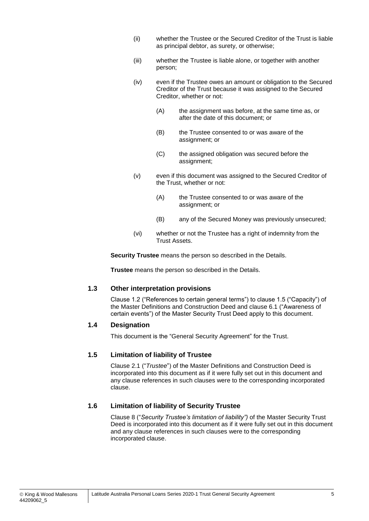- (ii) whether the Trustee or the Secured Creditor of the Trust is liable as principal debtor, as surety, or otherwise;
- (iii) whether the Trustee is liable alone, or together with another person;
- (iv) even if the Trustee owes an amount or obligation to the Secured Creditor of the Trust because it was assigned to the Secured Creditor, whether or not:
	- (A) the assignment was before, at the same time as, or after the date of this document; or
	- (B) the Trustee consented to or was aware of the assignment; or
	- (C) the assigned obligation was secured before the assignment;
- (v) even if this document was assigned to the Secured Creditor of the Trust, whether or not:
	- (A) the Trustee consented to or was aware of the assignment; or
	- (B) any of the Secured Money was previously unsecured;
- (vi) whether or not the Trustee has a right of indemnity from the Trust Assets.

**Security Trustee** means the person so described in the Details.

**Trustee** means the person so described in the Details.

## <span id="page-7-0"></span>**1.3 Other interpretation provisions**

Clause 1.2 ("References to certain general terms") to clause 1.5 ("Capacity") of the Master Definitions and Construction Deed and clause 6.1 ("Awareness of certain events") of the Master Security Trust Deed apply to this document.

## <span id="page-7-1"></span>**1.4 Designation**

This document is the "General Security Agreement" for the Trust.

## <span id="page-7-2"></span>**1.5 Limitation of liability of Trustee**

Clause 2.1 ("*Trustee*") of the Master Definitions and Construction Deed is incorporated into this document as if it were fully set out in this document and any clause references in such clauses were to the corresponding incorporated clause.

## <span id="page-7-3"></span>**1.6 Limitation of liability of Security Trustee**

Clause 8 ("*Security Trustee's limitation of liability")* of the Master Security Trust Deed is incorporated into this document as if it were fully set out in this document and any clause references in such clauses were to the corresponding incorporated clause.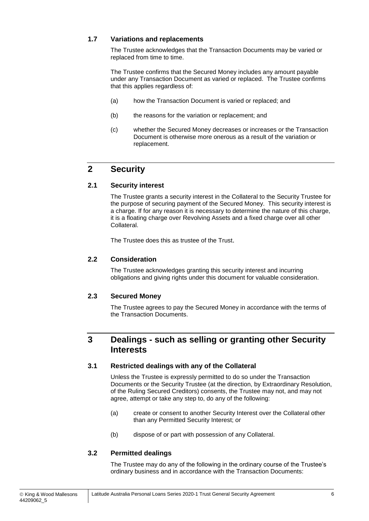## <span id="page-8-0"></span>**1.7 Variations and replacements**

The Trustee acknowledges that the Transaction Documents may be varied or replaced from time to time.

The Trustee confirms that the Secured Money includes any amount payable under any Transaction Document as varied or replaced. The Trustee confirms that this applies regardless of:

- (a) how the Transaction Document is varied or replaced; and
- (b) the reasons for the variation or replacement; and
- (c) whether the Secured Money decreases or increases or the Transaction Document is otherwise more onerous as a result of the variation or replacement.

## <span id="page-8-1"></span>**2 Security**

## <span id="page-8-2"></span>**2.1 Security interest**

The Trustee grants a security interest in the Collateral to the Security Trustee for the purpose of securing payment of the Secured Money. This security interest is a charge. If for any reason it is necessary to determine the nature of this charge, it is a floating charge over Revolving Assets and a fixed charge over all other Collateral.

The Trustee does this as trustee of the Trust.

## <span id="page-8-3"></span>**2.2 Consideration**

The Trustee acknowledges granting this security interest and incurring obligations and giving rights under this document for valuable consideration.

## <span id="page-8-4"></span>**2.3 Secured Money**

The Trustee agrees to pay the Secured Money in accordance with the terms of the Transaction Documents.

## <span id="page-8-5"></span>**3 Dealings - such as selling or granting other Security Interests**

## <span id="page-8-6"></span>**3.1 Restricted dealings with any of the Collateral**

Unless the Trustee is expressly permitted to do so under the Transaction Documents or the Security Trustee (at the direction, by Extraordinary Resolution, of the Ruling Secured Creditors) consents, the Trustee may not, and may not agree, attempt or take any step to, do any of the following:

- (a) create or consent to another Security Interest over the Collateral other than any Permitted Security Interest; or
- (b) dispose of or part with possession of any Collateral.

## <span id="page-8-7"></span>**3.2 Permitted dealings**

The Trustee may do any of the following in the ordinary course of the Trustee's ordinary business and in accordance with the Transaction Documents: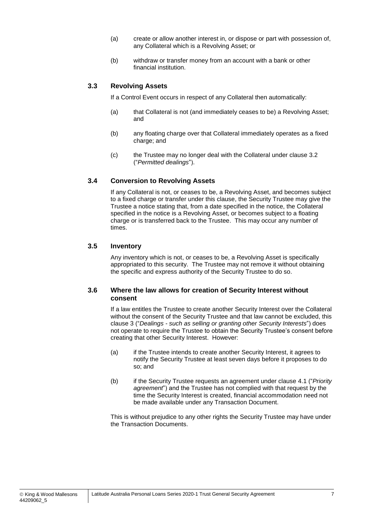- (a) create or allow another interest in, or dispose or part with possession of, any Collateral which is a Revolving Asset; or
- (b) withdraw or transfer money from an account with a bank or other financial institution.

## <span id="page-9-0"></span>**3.3 Revolving Assets**

If a Control Event occurs in respect of any Collateral then automatically:

- (a) that Collateral is not (and immediately ceases to be) a Revolving Asset; and
- (b) any floating charge over that Collateral immediately operates as a fixed charge; and
- (c) the Trustee may no longer deal with the Collateral under clause [3.2](#page-8-7) ("*Permitted dealings*").

#### <span id="page-9-1"></span>**3.4 Conversion to Revolving Assets**

If any Collateral is not, or ceases to be, a Revolving Asset, and becomes subject to a fixed charge or transfer under this clause, the Security Trustee may give the Trustee a notice stating that, from a date specified in the notice, the Collateral specified in the notice is a Revolving Asset, or becomes subject to a floating charge or is transferred back to the Trustee. This may occur any number of times.

## <span id="page-9-2"></span>**3.5 Inventory**

Any inventory which is not, or ceases to be, a Revolving Asset is specifically appropriated to this security. The Trustee may not remove it without obtaining the specific and express authority of the Security Trustee to do so.

#### <span id="page-9-3"></span>**3.6 Where the law allows for creation of Security Interest without consent**

If a law entitles the Trustee to create another Security Interest over the Collateral without the consent of the Security Trustee and that law cannot be excluded, this clause [3](#page-8-5) ("*Dealings - such as selling or granting other Security Interests*") does not operate to require the Trustee to obtain the Security Trustee's consent before creating that other Security Interest. However:

- (a) if the Trustee intends to create another Security Interest, it agrees to notify the Security Trustee at least seven days before it proposes to do so; and
- (b) if the Security Trustee requests an agreement under clause [4.1](#page-10-1) ("*Priority agreement*") and the Trustee has not complied with that request by the time the Security Interest is created, financial accommodation need not be made available under any Transaction Document.

This is without prejudice to any other rights the Security Trustee may have under the Transaction Documents.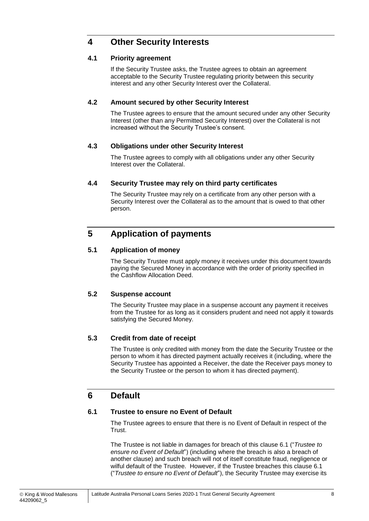## <span id="page-10-0"></span>**4 Other Security Interests**

## <span id="page-10-1"></span>**4.1 Priority agreement**

If the Security Trustee asks, the Trustee agrees to obtain an agreement acceptable to the Security Trustee regulating priority between this security interest and any other Security Interest over the Collateral.

## <span id="page-10-2"></span>**4.2 Amount secured by other Security Interest**

The Trustee agrees to ensure that the amount secured under any other Security Interest (other than any Permitted Security Interest) over the Collateral is not increased without the Security Trustee's consent.

## <span id="page-10-3"></span>**4.3 Obligations under other Security Interest**

The Trustee agrees to comply with all obligations under any other Security Interest over the Collateral.

## <span id="page-10-4"></span>**4.4 Security Trustee may rely on third party certificates**

The Security Trustee may rely on a certificate from any other person with a Security Interest over the Collateral as to the amount that is owed to that other person.

## <span id="page-10-5"></span>**5 Application of payments**

## <span id="page-10-6"></span>**5.1 Application of money**

The Security Trustee must apply money it receives under this document towards paying the Secured Money in accordance with the order of priority specified in the Cashflow Allocation Deed.

## <span id="page-10-7"></span>**5.2 Suspense account**

The Security Trustee may place in a suspense account any payment it receives from the Trustee for as long as it considers prudent and need not apply it towards satisfying the Secured Money.

## <span id="page-10-8"></span>**5.3 Credit from date of receipt**

The Trustee is only credited with money from the date the Security Trustee or the person to whom it has directed payment actually receives it (including, where the Security Trustee has appointed a Receiver, the date the Receiver pays money to the Security Trustee or the person to whom it has directed payment).

## <span id="page-10-9"></span>**6 Default**

## <span id="page-10-10"></span>**6.1 Trustee to ensure no Event of Default**

The Trustee agrees to ensure that there is no Event of Default in respect of the Trust.

The Trustee is not liable in damages for breach of this clause [6.1](#page-10-10) ("*Trustee to ensure no Event of Default*") (including where the breach is also a breach of another clause) and such breach will not of itself constitute fraud, negligence or wilful default of the Trustee. However, if the Trustee breaches this clause [6.1](#page-10-10) ("*Trustee to ensure no Event of Default*"), the Security Trustee may exercise its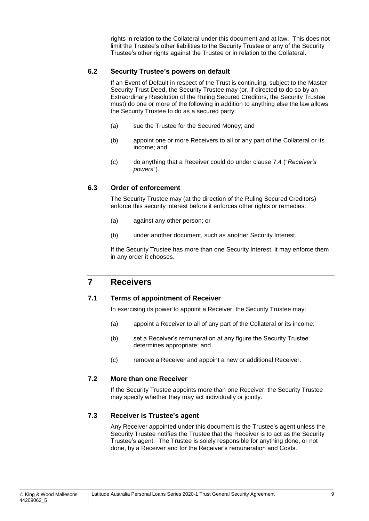rights in relation to the Collateral under this document and at law. This does not limit the Trustee's other liabilities to the Security Trustee or any of the Security Trustee's other rights against the Trustee or in relation to the Collateral.

#### <span id="page-11-0"></span>**6.2 Security Trustee's powers on default**

If an Event of Default in respect of the Trust is continuing, subject to the Master Security Trust Deed, the Security Trustee may (or, if directed to do so by an Extraordinary Resolution of the Ruling Secured Creditors, the Security Trustee must) do one or more of the following in addition to anything else the law allows the Security Trustee to do as a secured party:

- (a) sue the Trustee for the Secured Money; and
- (b) appoint one or more Receivers to all or any part of the Collateral or its income; and
- (c) do anything that a Receiver could do under clause [7.4](#page-12-0) ("*Receiver's powers*").

#### <span id="page-11-1"></span>**6.3 Order of enforcement**

The Security Trustee may (at the direction of the Ruling Secured Creditors) enforce this security interest before it enforces other rights or remedies:

- (a) against any other person; or
- (b) under another document, such as another Security Interest.

If the Security Trustee has more than one Security Interest, it may enforce them in any order it chooses.

## <span id="page-11-2"></span>**7 Receivers**

#### <span id="page-11-3"></span>**7.1 Terms of appointment of Receiver**

In exercising its power to appoint a Receiver, the Security Trustee may:

- (a) appoint a Receiver to all of any part of the Collateral or its income;
- (b) set a Receiver's remuneration at any figure the Security Trustee determines appropriate; and
- (c) remove a Receiver and appoint a new or additional Receiver.

## <span id="page-11-4"></span>**7.2 More than one Receiver**

If the Security Trustee appoints more than one Receiver, the Security Trustee may specify whether they may act individually or jointly.

#### <span id="page-11-5"></span>**7.3 Receiver is Trustee's agent**

Any Receiver appointed under this document is the Trustee's agent unless the Security Trustee notifies the Trustee that the Receiver is to act as the Security Trustee's agent. The Trustee is solely responsible for anything done, or not done, by a Receiver and for the Receiver's remuneration and Costs.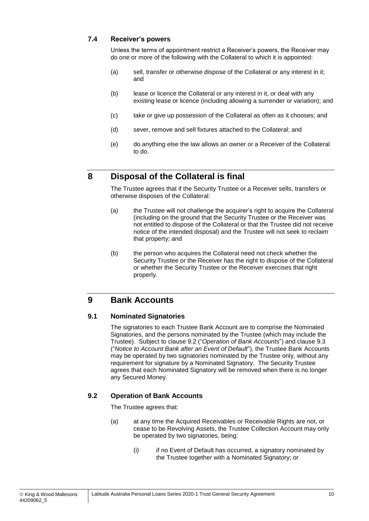## <span id="page-12-0"></span>**7.4 Receiver's powers**

Unless the terms of appointment restrict a Receiver's powers, the Receiver may do one or more of the following with the Collateral to which it is appointed:

- (a) sell, transfer or otherwise dispose of the Collateral or any interest in it; and
- (b) lease or licence the Collateral or any interest in it, or deal with any existing lease or licence (including allowing a surrender or variation); and
- (c) take or give up possession of the Collateral as often as it chooses; and
- (d) sever, remove and sell fixtures attached to the Collateral; and
- (e) do anything else the law allows an owner or a Receiver of the Collateral to do.

## <span id="page-12-1"></span>**8 Disposal of the Collateral is final**

The Trustee agrees that if the Security Trustee or a Receiver sells, transfers or otherwise disposes of the Collateral:

- (a) the Trustee will not challenge the acquirer's right to acquire the Collateral (including on the ground that the Security Trustee or the Receiver was not entitled to dispose of the Collateral or that the Trustee did not receive notice of the intended disposal) and the Trustee will not seek to reclaim that property; and
- (b) the person who acquires the Collateral need not check whether the Security Trustee or the Receiver has the right to dispose of the Collateral or whether the Security Trustee or the Receiver exercises that right properly.

## <span id="page-12-2"></span>**9 Bank Accounts**

## <span id="page-12-3"></span>**9.1 Nominated Signatories**

The signatories to each Trustee Bank Account are to comprise the Nominated Signatories, and the persons nominated by the Trustee (which may include the Trustee). Subject to clause [9.2](#page-12-4) ("*Operation of Bank Accounts*") and clause [9.3](#page-13-0) ("*Notice to Account Bank after an Event of Default*"), the Trustee Bank Accounts may be operated by two signatories nominated by the Trustee only, without any requirement for signature by a Nominated Signatory. The Security Trustee agrees that each Nominated Signatory will be removed when there is no longer any Secured Money.

## <span id="page-12-4"></span>**9.2 Operation of Bank Accounts**

The Trustee agrees that:

- (a) at any time the Acquired Receivables or Receivable Rights are not, or cease to be Revolving Assets, the Trustee Collection Account may only be operated by two signatories, being:
	- (i) if no Event of Default has occurred, a signatory nominated by the Trustee together with a Nominated Signatory; or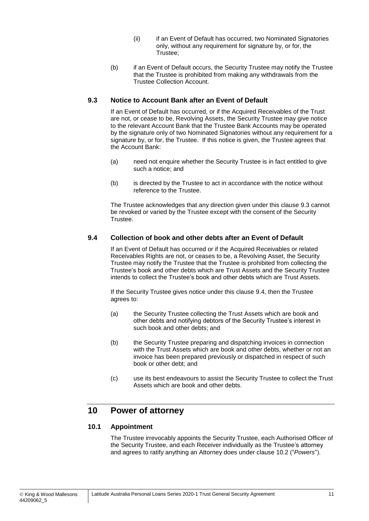- (ii) if an Event of Default has occurred, two Nominated Signatories only, without any requirement for signature by, or for, the Trustee;
- (b) if an Event of Default occurs, the Security Trustee may notify the Trustee that the Trustee is prohibited from making any withdrawals from the Trustee Collection Account.

## <span id="page-13-0"></span>**9.3 Notice to Account Bank after an Event of Default**

If an Event of Default has occurred, or if the Acquired Receivables of the Trust are not, or cease to be, Revolving Assets, the Security Trustee may give notice to the relevant Account Bank that the Trustee Bank Accounts may be operated by the signature only of two Nominated Signatories without any requirement for a signature by, or for, the Trustee. If this notice is given, the Trustee agrees that the Account Bank:

- (a) need not enquire whether the Security Trustee is in fact entitled to give such a notice; and
- (b) is directed by the Trustee to act in accordance with the notice without reference to the Trustee.

The Trustee acknowledges that any direction given under this clause [9.3](#page-13-0) cannot be revoked or varied by the Trustee except with the consent of the Security Trustee.

## <span id="page-13-1"></span>**9.4 Collection of book and other debts after an Event of Default**

If an Event of Default has occurred or if the Acquired Receivables or related Receivables Rights are not, or ceases to be, a Revolving Asset, the Security Trustee may notify the Trustee that the Trustee is prohibited from collecting the Trustee's book and other debts which are Trust Assets and the Security Trustee intends to collect the Trustee's book and other debts which are Trust Assets.

If the Security Trustee gives notice under this clause [9.4,](#page-13-1) then the Trustee agrees to:

- (a) the Security Trustee collecting the Trust Assets which are book and other debts and notifying debtors of the Security Trustee's interest in such book and other debts; and
- (b) the Security Trustee preparing and dispatching invoices in connection with the Trust Assets which are book and other debts, whether or not an invoice has been prepared previously or dispatched in respect of such book or other debt; and
- (c) use its best endeavours to assist the Security Trustee to collect the Trust Assets which are book and other debts.

## <span id="page-13-2"></span>**10 Power of attorney**

## <span id="page-13-3"></span>**10.1 Appointment**

The Trustee irrevocably appoints the Security Trustee, each Authorised Officer of the Security Trustee, and each Receiver individually as the Trustee's attorney and agrees to ratify anything an Attorney does under clause [10.2](#page-14-0) ("*Powers*").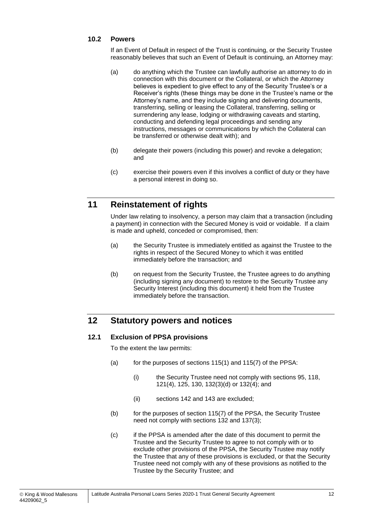## <span id="page-14-0"></span>**10.2 Powers**

If an Event of Default in respect of the Trust is continuing, or the Security Trustee reasonably believes that such an Event of Default is continuing, an Attorney may:

- (a) do anything which the Trustee can lawfully authorise an attorney to do in connection with this document or the Collateral, or which the Attorney believes is expedient to give effect to any of the Security Trustee's or a Receiver's rights (these things may be done in the Trustee's name or the Attorney's name, and they include signing and delivering documents, transferring, selling or leasing the Collateral, transferring, selling or surrendering any lease, lodging or withdrawing caveats and starting, conducting and defending legal proceedings and sending any instructions, messages or communications by which the Collateral can be transferred or otherwise dealt with); and
- (b) delegate their powers (including this power) and revoke a delegation; and
- (c) exercise their powers even if this involves a conflict of duty or they have a personal interest in doing so.

## <span id="page-14-1"></span>**11 Reinstatement of rights**

Under law relating to insolvency, a person may claim that a transaction (including a payment) in connection with the Secured Money is void or voidable. If a claim is made and upheld, conceded or compromised, then:

- (a) the Security Trustee is immediately entitled as against the Trustee to the rights in respect of the Secured Money to which it was entitled immediately before the transaction; and
- (b) on request from the Security Trustee, the Trustee agrees to do anything (including signing any document) to restore to the Security Trustee any Security Interest (including this document) it held from the Trustee immediately before the transaction.

## <span id="page-14-2"></span>**12 Statutory powers and notices**

## <span id="page-14-3"></span>**12.1 Exclusion of PPSA provisions**

To the extent the law permits:

- (a) for the purposes of sections  $115(1)$  and  $115(7)$  of the PPSA:
	- (i) the Security Trustee need not comply with sections 95, 118, 121(4), 125, 130, 132(3)(d) or 132(4); and
	- (ii) sections 142 and 143 are excluded;
- (b) for the purposes of section 115(7) of the PPSA, the Security Trustee need not comply with sections 132 and 137(3);
- (c) if the PPSA is amended after the date of this document to permit the Trustee and the Security Trustee to agree to not comply with or to exclude other provisions of the PPSA, the Security Trustee may notify the Trustee that any of these provisions is excluded, or that the Security Trustee need not comply with any of these provisions as notified to the Trustee by the Security Trustee; and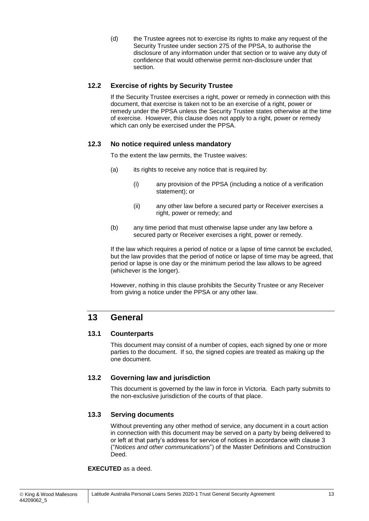(d) the Trustee agrees not to exercise its rights to make any request of the Security Trustee under section 275 of the PPSA, to authorise the disclosure of any information under that section or to waive any duty of confidence that would otherwise permit non-disclosure under that section.

## <span id="page-15-0"></span>**12.2 Exercise of rights by Security Trustee**

If the Security Trustee exercises a right, power or remedy in connection with this document, that exercise is taken not to be an exercise of a right, power or remedy under the PPSA unless the Security Trustee states otherwise at the time of exercise. However, this clause does not apply to a right, power or remedy which can only be exercised under the PPSA.

## <span id="page-15-1"></span>**12.3 No notice required unless mandatory**

To the extent the law permits, the Trustee waives:

- (a) its rights to receive any notice that is required by:
	- (i) any provision of the PPSA (including a notice of a verification statement); or
	- (ii) any other law before a secured party or Receiver exercises a right, power or remedy; and
- (b) any time period that must otherwise lapse under any law before a secured party or Receiver exercises a right, power or remedy.

If the law which requires a period of notice or a lapse of time cannot be excluded, but the law provides that the period of notice or lapse of time may be agreed, that period or lapse is one day or the minimum period the law allows to be agreed (whichever is the longer).

However, nothing in this clause prohibits the Security Trustee or any Receiver from giving a notice under the PPSA or any other law.

## <span id="page-15-2"></span>**13 General**

## <span id="page-15-3"></span>**13.1 Counterparts**

This document may consist of a number of copies, each signed by one or more parties to the document. If so, the signed copies are treated as making up the one document.

## <span id="page-15-4"></span>**13.2 Governing law and jurisdiction**

This document is governed by the law in force in Victoria. Each party submits to the non-exclusive jurisdiction of the courts of that place.

## <span id="page-15-5"></span>**13.3 Serving documents**

Without preventing any other method of service, any document in a court action in connection with this document may be served on a party by being delivered to or left at that party's address for service of notices in accordance with clause 3 ("*Notices and other communications*") of the Master Definitions and Construction Deed.

#### **EXECUTED** as a deed.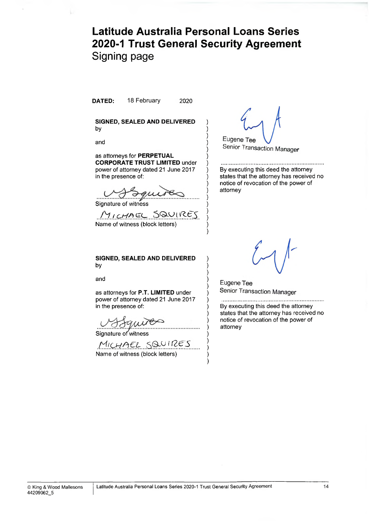## **Latitude Australia Personal Loans Series 2020-1 Trust General Security Agreement** Signing page

)

)

) ) )

attorney

)

)

)

)

)

**DATED:** 18 February 2020

**SIGNED, SEALED AND DELIVERED )** by )

and )

as attorneys for **PERPETUAL ) CORPORATE TRUST LIMITED** under ) power of attorney dated 21 June 2017 in the presence of:

Signature of witness )

MICHAEL SQUIRES Name of witness (block letters) )

**SIGNED, SEALED AND DELIVERED )** by )

and  $\qquad \qquad \qquad \qquad$ 

as attorneys for **P.T. LIMITED** under ) power of attorney dated 21 June 2017 in the presence of:

Signature of witness

MICHAEL SQUIRES ..... ) Name of witness (block letters) )

Eugene Tee Senior Transaction Manager

By executing this deed the attorney states that the attorney has received no notice of revocation of the power of

Eugene Tee Senior Transaction Manager

By executing this deed the attorney states that the attorney has received no notice of revocation of the power of attorney